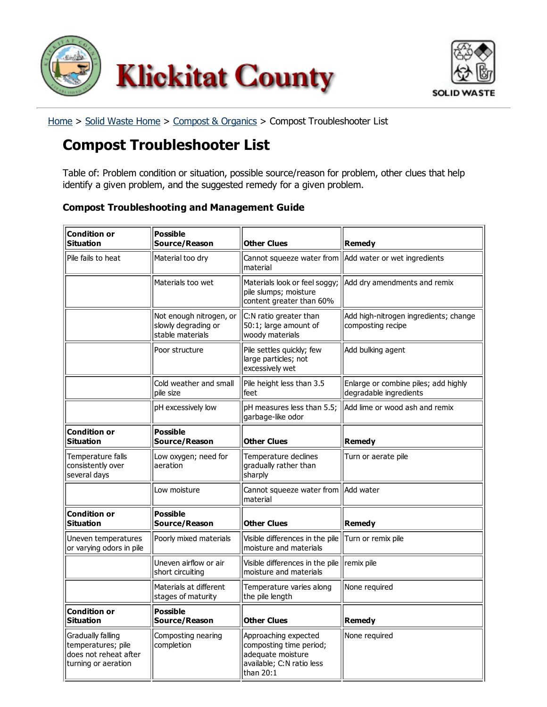<span id="page-0-0"></span>



[Home](http://www.klickitatcounty.org/default.asp) > Solid [Waste](http://www.klickitatcounty.org/SolidWaste/default.asp?fCategoryIdSelected=948111261) Home > [Compost](http://www.klickitatcounty.org/SolidWaste/default.asp?fCategoryIDSelected=965105457) & Organics > Compost Troubleshooter List

## Compost Troubleshooter List

Table of: Problem condition or situation, possible source/reason for problem, other clues that help identify a given problem, and the suggested remedy for a given problem.

## Compost Troubleshooting and Management Guide

| <b>Condition or</b><br><b>Situation</b>                                                 | <b>Possible</b><br>Source/Reason                                   | Other Clues                                                                                                      | Remedy                                                         |
|-----------------------------------------------------------------------------------------|--------------------------------------------------------------------|------------------------------------------------------------------------------------------------------------------|----------------------------------------------------------------|
| Pile fails to heat                                                                      | Material too dry                                                   | Cannot squeeze water from<br>material                                                                            | Add water or wet ingredients                                   |
|                                                                                         | Materials too wet                                                  | Materials look or feel soggy;<br>pile slumps; moisture<br>content greater than 60%                               | Add dry amendments and remix                                   |
|                                                                                         | Not enough nitrogen, or<br>slowly degrading or<br>stable materials | C:N ratio greater than<br>50:1; large amount of<br>woody materials                                               | Add high-nitrogen ingredients; change<br>composting recipe     |
|                                                                                         | Poor structure                                                     | Pile settles quickly; few<br>large particles; not<br>excessively wet                                             | Add bulking agent                                              |
|                                                                                         | Cold weather and small<br>pile size                                | Pile height less than 3.5<br>lfeet                                                                               | Enlarge or combine piles; add highly<br>degradable ingredients |
|                                                                                         | pH excessively low                                                 | pH measures less than 5.5;<br>garbage-like odor                                                                  | Add lime or wood ash and remix                                 |
| <b>Condition or</b><br><b>Situation</b>                                                 | <b>Possible</b><br>Source/Reason                                   | <b>Other Clues</b>                                                                                               | Remedy                                                         |
| Temperature falls<br>consistently over<br>several days                                  | Low oxygen; need for<br>aeration                                   | Temperature declines<br>gradually rather than<br>sharply                                                         | Turn or aerate pile                                            |
|                                                                                         | Low moisture                                                       | Cannot squeeze water from<br>material                                                                            | Add water                                                      |
| <b>Condition or</b><br><b>Situation</b>                                                 | <b>Possible</b><br>Source/Reason                                   | <b>Other Clues</b>                                                                                               | Remedy                                                         |
| Uneven temperatures<br>or varying odors in pile                                         | Poorly mixed materials                                             | Visible differences in the pile<br>moisture and materials                                                        | Turn or remix pile                                             |
|                                                                                         | Uneven airflow or air<br>short circuiting                          | Visible differences in the pile<br>moisture and materials                                                        | remix pile                                                     |
|                                                                                         | Materials at different<br>stages of maturity                       | Temperature varies along<br>the pile length                                                                      | None required                                                  |
| <b>Condition or</b><br><b>Situation</b>                                                 | <b>Possible</b><br>Source/Reason                                   | <b>Other Clues</b>                                                                                               | Remedy                                                         |
| Gradually falling<br>temperatures; pile<br>does not reheat after<br>turning or aeration | Composting nearing<br>completion                                   | Approaching expected<br>composting time period;<br>adequate moisture<br>available; C:N ratio less<br>than $20:1$ | None required                                                  |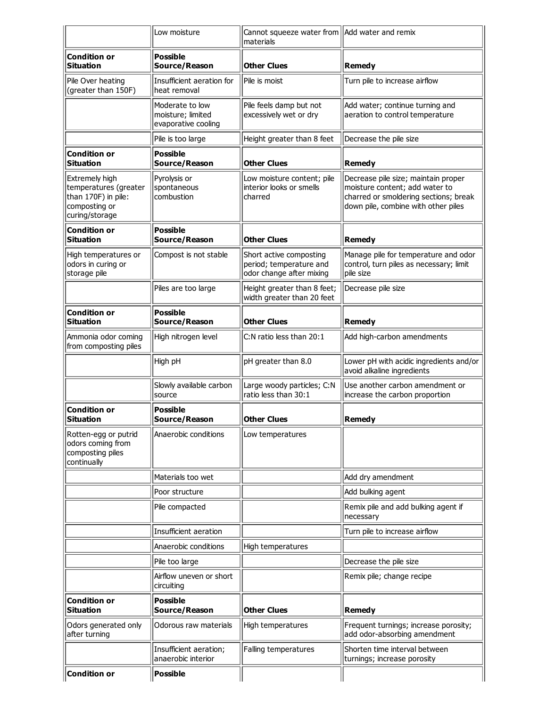|                                                                                                   | Low moisture                                                | Cannot squeeze water from   Add water and remix<br>materials                   |                                                                                                                                                       |
|---------------------------------------------------------------------------------------------------|-------------------------------------------------------------|--------------------------------------------------------------------------------|-------------------------------------------------------------------------------------------------------------------------------------------------------|
| <b>Condition or</b><br><b>Situation</b>                                                           | <b>Possible</b><br>Source/Reason                            | <b>Other Clues</b>                                                             | <b>Remedy</b>                                                                                                                                         |
| Pile Over heating<br>(greater than 150F)                                                          | Insufficient aeration for<br>heat removal                   | Pile is moist                                                                  | Turn pile to increase airflow                                                                                                                         |
|                                                                                                   | Moderate to low<br>moisture; limited<br>evaporative cooling | Pile feels damp but not<br>excessively wet or dry                              | Add water; continue turning and<br>aeration to control temperature                                                                                    |
|                                                                                                   | Pile is too large                                           | Height greater than 8 feet                                                     | Decrease the pile size                                                                                                                                |
| <b>Condition or</b><br><b>Situation</b>                                                           | <b>Possible</b><br>Source/Reason                            | <b>Other Clues</b>                                                             | <b>Remedy</b>                                                                                                                                         |
| Extremely high<br>temperatures (greater<br>than 170F) in pile:<br>composting or<br>curing/storage | Pyrolysis or<br>spontaneous<br>combustion                   | Low moisture content; pile<br>interior looks or smells<br>charred              | Decrease pile size; maintain proper<br>moisture content; add water to<br>charred or smoldering sections; break<br>down pile, combine with other piles |
| <b>Condition or</b><br><b>Situation</b>                                                           | <b>Possible</b><br>Source/Reason                            | <b>Other Clues</b>                                                             | Remedy                                                                                                                                                |
| High temperatures or<br>odors in curing or<br>storage pile                                        | Compost is not stable                                       | Short active composting<br>period; temperature and<br>odor change after mixing | Manage pile for temperature and odor<br>control, turn piles as necessary; limit<br>pile size                                                          |
|                                                                                                   | Piles are too large                                         | Height greater than 8 feet;<br>width greater than 20 feet                      | Decrease pile size                                                                                                                                    |
| <b>Condition or</b><br><b>Situation</b>                                                           | <b>Possible</b><br>Source/Reason                            | <b>Other Clues</b>                                                             | <b>Remedy</b>                                                                                                                                         |
| Ammonia odor coming<br>from composting piles                                                      | High nitrogen level                                         | C:N ratio less than 20:1                                                       | Add high-carbon amendments                                                                                                                            |
|                                                                                                   | High pH                                                     | pH greater than 8.0                                                            | Lower pH with acidic ingredients and/or<br>avoid alkaline ingredients                                                                                 |
|                                                                                                   | Slowly available carbon<br>source                           | Large woody particles; C:N<br>ratio less than 30:1                             | Use another carbon amendment or<br>increase the carbon proportion                                                                                     |
| <b>Condition or</b><br><b>Situation</b>                                                           | <b>Possible</b><br>Source/Reason                            | <b>Other Clues</b>                                                             | <b>Remedy</b>                                                                                                                                         |
| Rotten-egg or putrid<br>odors coming from<br>composting piles<br>continually                      | Anaerobic conditions                                        | Low temperatures                                                               |                                                                                                                                                       |
|                                                                                                   | Materials too wet                                           |                                                                                | Add dry amendment                                                                                                                                     |
|                                                                                                   | Poor structure                                              |                                                                                | Add bulking agent                                                                                                                                     |
|                                                                                                   | Pile compacted                                              |                                                                                | Remix pile and add bulking agent if<br>necessary                                                                                                      |
|                                                                                                   | Insufficient aeration                                       |                                                                                | Turn pile to increase airflow                                                                                                                         |
|                                                                                                   | Anaerobic conditions                                        | High temperatures                                                              |                                                                                                                                                       |
|                                                                                                   | Pile too large                                              |                                                                                | Decrease the pile size                                                                                                                                |
|                                                                                                   | Airflow uneven or short<br>circuiting                       |                                                                                | Remix pile; change recipe                                                                                                                             |
| <b>Condition or</b><br><b>Situation</b>                                                           | <b>Possible</b><br>Source/Reason                            | <b>Other Clues</b>                                                             | <b>Remedy</b>                                                                                                                                         |
| Odors generated only<br>after turning                                                             | Odorous raw materials                                       | High temperatures                                                              | Frequent turnings; increase porosity;<br>add odor-absorbing amendment                                                                                 |
|                                                                                                   | Insufficient aeration;<br>anaerobic interior                | Falling temperatures                                                           | Shorten time interval between<br>turnings; increase porosity                                                                                          |
| <b>Condition or</b>                                                                               | <b>Possible</b>                                             |                                                                                |                                                                                                                                                       |